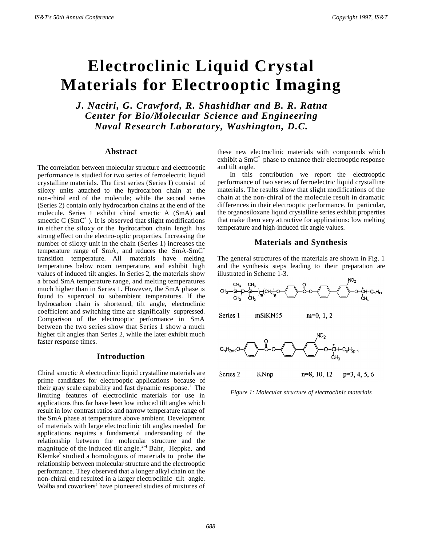# **Electroclinic Liquid Crystal Materials for Electrooptic Imaging**

*J. Naciri, G. Crawford, R. Shashidhar and B. R. Ratna Center for Bio/Molecular Science and Engineering Naval Research Laboratory, Washington, D.C.*

# **Abstract**

The correlation between molecular structure and electrooptic performance is studied for two series of ferroelectric liquid crystalline materials. The first series (Series I) consist of siloxy units attached to the hydrocarbon chain at the non-chiral end of the molecule; while the second series (Series 2) contain only hydrocarbon chains at the end of the molecule. Series 1 exhibit chiral smectic A (SmA) and smectic  $C(SmC^*)$ . It is observed that slight modifications in either the siloxy or the hydrocarbon chain length has strong effect on the electro-optic properties. Increasing the number of siloxy unit in the chain (Series 1) increases the temperature range of SmA, and reduces the SmA-SmC\* transition temperature. All materials have melting temperatures below room temperature, and exhibit high values of induced tilt angles. In Series 2, the materials show a broad SmA temperature range, and melting temperatures much higher than in Series 1. However, the SmA phase is found to supercool to subambient temperatures. If the hydrocarbon chain is shortened, tilt angle, electroclinic coefficient and switching time are significally suppressed. Comparison of the electrooptic performance in SmA between the two series show that Series 1 show a much higher tilt angles than Series 2, while the later exhibit much faster response times.

## **Introduction**

Chiral smectic A electroclinic liquid crystalline materials are prime candidates for electrooptic applications because of their gray scale capability and fast dynamic response.<sup>1</sup> The limiting features of electroclinic materials for use in applications thus far have been low induced tilt angles which result in low contrast ratios and narrow temperature range of the SmA phase at temperature above ambient. Development of materials with large electroclinic tilt angles needed for applications requires a fundamental understanding of the relationship between the molecular structure and the magnitude of the induced tilt angle. $2-4$  Bahr, Heppke, and Klemke<sup>2</sup> studied a homologous of materials to probe the relationship between molecular structure and the electrooptic performance. They observed that a longer alkyl chain on the non-chiral end resulted in a larger electroclinic tilt angle. Walba and coworkers<sup>5</sup> have pioneered studies of mixtures of

these new electroclinic materials with compounds which exhibit a SmC<sup>\*</sup> phase to enhance their electrooptic response and tilt angle.

In this contribution we report the electrooptic performance of two series of ferroelectric liquid crystalline materials. The results show that slight modifications of the chain at the non-chiral of the molecule result in dramatic differences in their electrooptic performance. In particular, the organosiloxane liquid crystalline series exhibit properties that make them very attractive for applications: low melting temperature and high-induced tilt angle values.

#### **Materials and Synthesis**

The general structures of the materials are shown in Fig. 1 and the synthesis steps leading to their preparation are illustrated in Scheme 1-3.



Series 2 **KNnp**  $n=8, 10, 12$  $p=3, 4, 5, 6$ 

*Figure 1: Molecular structure of electroclinic materials*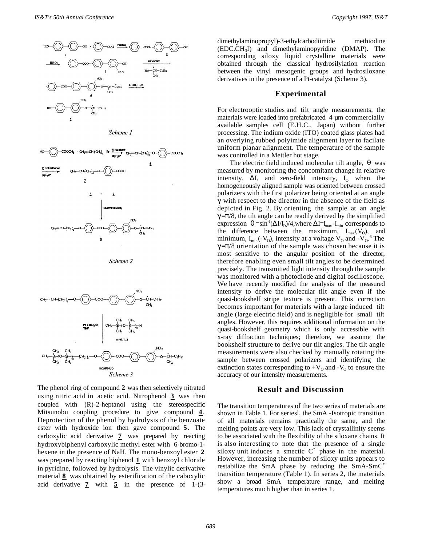

Scheme 3

The phenol ring of compound **2** was then selectively nitrated using nitric acid in acetic acid. Nitrophenol **3** was then coupled with (R)-2-heptanol using the stereospecific Mitsunobu coupling procedure to give compound **4** . Deprotection of the phenol by hydrolysis of the benzoate ester with hydroxide ion then gave compound 5. The carboxylic acid derivative **7** was prepared by reacting hydroxybiphenyl carboxylic methyl ester with 6-bromo-1 hexene in the presence of NaH. The mono-benzoyl ester **2**  was prepared by reacting biphenol **1** with benzoyl chloride in pyridine, followed by hydrolysis. The vinylic derivative material **8** was obtained by esterification of the caboxylic acid derivative **7** with **5** in the presence of 1-(3dimethylaminopropyl)-3-ethylcarbodiimide methiodine  $(EDC.CH<sub>3</sub>I)$  and dimethylaminopyridine  $(DMAP)$ . The corresponding siloxy liquid crystalline materials were obtained through the classical hydrosilylation reaction between the vinyl mesogenic groups and hydrosiloxane derivatives in the presence of a Pt-catalyst (Scheme 3).

#### **Experimental**

For electrooptic studies and tilt angle measurements, the materials were loaded into prefabricated 4 µm commercially available samples cell (E.H.C., Japan) without further processing. The indium oxide (ITO) coated glass plates had an overlying rubbed polyimide alignment layer to facilate uniform planar alignment. The temperature of the sample was controlled in a Mettler hot stage.

The electric field induced molecular tilt angle,  $\theta$  was measured by monitoring the concomitant change in relative intensity,  $\Delta I$ , and zero-field intensity,  $I_0$  when the homogeneously aligned sample was oriented between crossed polarizers with the first polarizer being oriented at an angle γ with respect to the director in the absence of the field as depicted in Fig. 2. By orienting the sample at an angle  $\gamma = \pi/8$ , the tilt angle can be readily derived by the simplified expression  $\theta = \sin^{-1}(\Delta I / I_0)/4$ , where  $\Delta I = I_{\text{max}} - I_{\text{min}}$  corresponds to the difference between the maximum,  $I_{max}(V_0)$ , and minimum,  $I_{min}(-V_0)$ , intensity at a voltage  $V_0$  and  $-V_0$ .<sup>6</sup> The  $\gamma = \pi/8$  orientation of the sample was chosen because it is most sensitive to the angular position of the director, therefore enabling even small tilt angles to be determined precisely. The transmitted light intensity through the sample was monitored with a photodiode and digital oscilloscope. We have recently modified the analysis of the measured intensity to derive the molecular tilt angle even if the quasi-bookshelf stripe texture is present. This correction becomes important for materials with a large induced tilt angle (large electric field) and is negligible for small tilt angles. However, this requires additional information on the quasi-bookshelf geometry which is only accessible with x-ray diffraction techniques; therefore, we assume the bookshelf structure to derive our tilt angles. The tilt angle measurements were also checked by manually rotating the sample between crossed polarizers and identifying the extinction states corresponding to  $+V_0$  and  $-V_0$  to ensure the accuracy of our intensity measurements.

### **Result and Discussion**

The transition temperatures of the two series of materials are shown in Table 1. For seriesl, the SmA -Isotropic transition of all materials remains practically the same, and the melting points are very low. This lack of crystallinity seems to be associated with the flexibility of the siloxane chains. It is also interesting to note that the presence of a single siloxy unit induces a smectic  $C^*$  phase in the material. However, increasing the number of siloxy units appears to restabilize the SmA phase by reducing the SmA-SmC\* transition temperature (Table 1). In series 2, the materials show a broad SmA temperature range, and melting temperatures much higher than in series 1.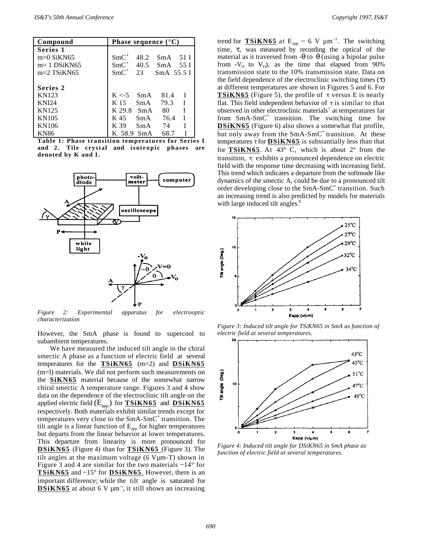| Compound      | Phase sequence $({}^{\circ}C)$ |       |               |             |
|---------------|--------------------------------|-------|---------------|-------------|
| Series 1      |                                |       |               |             |
| $m=0$ SiKN65  | $SmC^*$                        | 48.2  | $SmA$ 51 I    |             |
| $m=1$ DSiKN65 | $SmC^*$                        |       | 40.5 SmA 55 I |             |
| $m=2$ TSiKN65 | $SmC^*$                        | 23    | $SmA$ 55.5 I  |             |
|               |                                |       |               |             |
| Series 2      |                                |       |               |             |
| KN123         | $K < -5$ SmA                   |       | 81.4          |             |
| <b>KNI24</b>  | K 15                           | SmA   | 79.3          | $\mathbf I$ |
| KN125         | K 29.8                         | - SmA | 80.           | I           |
| KN105         | K 45                           | SmA   | 76.4          | T           |
| KN106         | K 39                           | SmA   | 74            |             |
| <b>KN86</b>   | K 58.9 SmA                     |       | 68.7          |             |

**Table 1: Phase transition temperatures for Series I and 2. Tile crystal and isotropic phases are denoted by K and I.**



*Figure 2: Experimental apparatus for electrooptic characterization*

However, the SmA phase is found to supercool to subambient temperatures.

We have measured the induced tilt angle in the chiral smectic A phase as a function of electric field at several temperatures for the **TSiKN65** (m=2) and **DSiKN65**  (m=l) materials. We did not perform such measurements on the **SiKN65** material because of the somewhat narrow chiral smectic A temperature range. Figures 3 and 4 show data on the dependence of the electroclinic tilt angle on the applied electric field ( $E_{app}$ ) for **TSiKN65** and **DSiKN65** respectively. Both materials exhibit similar trends except for temperatures very close to the SmA-SmC\* transition. The tilt angle is a linear function of  $E_{app}$  for higher temperatures but departs from the linear behavior at lower temperatures. This departure from linearity is more pronounced for  **DSiKN65** (Figure 4) than for **TSiKN65** (Figure 3). The tilt angles at the maximum voltage (6 Vµm-T) shown in Figure 3 and 4 are similar for the two materials  $\sim$ 14° for **TSiKN65** and ~15° for **DSiKN65** .However, there is an important difference; while the tilt angle is saturated for  **DSiKN65** at about 6 V µm- ', it still shows an increasing

trend for  $TSIKN65$  at  $E_{app} \sim 6$  V  $\mu$ m<sup>-1</sup>. The switching</u> time, τ, was measured by recording the optical of the material as it traversed from  $-\theta$  to  $\theta$  (using a bipolar pulse from  $-V_0$  to  $V_0$ ), as the time that elapsed from 90% transmission state to the 10% transmission state. Data on the field dependence of the electroclinic switching times  $(\tau)$ at different temperatures are shown in Figures 5 and 6. For **TSiKN65** (Figure 5), the profile of  $\tau$  versus E is nearly flat. This field independent behavior of  $\tau$  is similar to that observed in other electroclinic materials<sup>7</sup> at temperatures far from SmA-SmC\* transition. The switching time for **DSIKN65** (Figure 6) also shows a somewhat flat profile, but only away from the SmA-SmC<sup>\*</sup> transition. At these temperatures τ for **DSiKN65** is substantially less than that for **TSiKN65** . At 43° C, which is about 2° from the transition, τ. exhibits a pronounced dependence on electric field with the response time decreasing with increasing field. This trend which indicates a departure from the softmode like dynamics of the smectic A, could be due to a pronounced tilt order developing close to the SmA-SmC<sup>\*</sup> transition. Such an increasing trend is also predicted by models for materials with large induced tilt angles.<sup>8</sup>



*Figure 3: Induced tilt angle for TSiKN65 in SmA as function of electric field at several temperatures.*



*Figure 4: Induced tilt angle for DSiKN65 in SmA phase as function of electric field at several temperatures.*